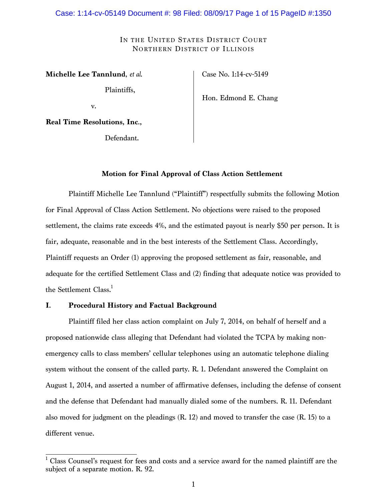#### Case: 1:14-cv-05149 Document #: 98 Filed: 08/09/17 Page 1 of 15 PageID #:1350

## IN THE UNITED STATES DISTRICT COURT NORTHERN DISTRICT OF ILLINOIS

**Michelle Lee Tannlund**, *et al*.

Plaintiffs,

Case No. 1:14-cv-5149

Hon. Edmond E. Chang

v.

**Real Time Resolutions, Inc**.**,**

Defendant.

## **Motion for Final Approval of Class Action Settlement**

Plaintiff Michelle Lee Tannlund ("Plaintiff") respectfully submits the following Motion for Final Approval of Class Action Settlement. No objections were raised to the proposed settlement, the claims rate exceeds 4%, and the estimated payout is nearly \$50 per person. It is fair, adequate, reasonable and in the best interests of the Settlement Class. Accordingly, Plaintiff requests an Order (1) approving the proposed settlement as fair, reasonable, and adequate for the certified Settlement Class and (2) finding that adequate notice was provided to the Settlement Class.<sup>1</sup>

## **I. Procedural History and Factual Background**

Plaintiff filed her class action complaint on July 7, 2014, on behalf of herself and a proposed nationwide class alleging that Defendant had violated the TCPA by making nonemergency calls to class members' cellular telephones using an automatic telephone dialing system without the consent of the called party. R. 1. Defendant answered the Complaint on August 1, 2014, and asserted a number of affirmative defenses, including the defense of consent and the defense that Defendant had manually dialed some of the numbers. R. 11. Defendant also moved for judgment on the pleadings  $(R, 12)$  and moved to transfer the case  $(R, 15)$  to a different venue.

<sup>&</sup>lt;sup>1</sup> Class Counsel's request for fees and costs and a service award for the named plaintiff are the subject of a separate motion. R. 92.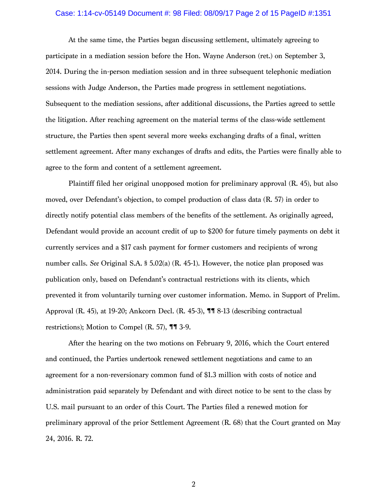#### Case: 1:14-cv-05149 Document #: 98 Filed: 08/09/17 Page 2 of 15 PageID #:1351

At the same time, the Parties began discussing settlement, ultimately agreeing to participate in a mediation session before the Hon. Wayne Anderson (ret.) on September 3, 2014. During the in-person mediation session and in three subsequent telephonic mediation sessions with Judge Anderson, the Parties made progress in settlement negotiations. Subsequent to the mediation sessions, after additional discussions, the Parties agreed to settle the litigation. After reaching agreement on the material terms of the class-wide settlement structure, the Parties then spent several more weeks exchanging drafts of a final, written settlement agreement. After many exchanges of drafts and edits, the Parties were finally able to agree to the form and content of a settlement agreement.

Plaintiff filed her original unopposed motion for preliminary approval (R. 45), but also moved, over Defendant's objection, to compel production of class data (R. 57) in order to directly notify potential class members of the benefits of the settlement. As originally agreed, Defendant would provide an account credit of up to \$200 for future timely payments on debt it currently services and a \$17 cash payment for former customers and recipients of wrong number calls. *See* Original S.A. § 5.02(a) (R. 45-1). However, the notice plan proposed was publication only, based on Defendant's contractual restrictions with its clients, which prevented it from voluntarily turning over customer information. Memo. in Support of Prelim. Approval (R. 45), at 19-20; Ankcorn Decl. (R. 45-3), ¶¶ 8-13 (describing contractual restrictions); Motion to Compel (R. 57), ¶¶ 3-9.

After the hearing on the two motions on February 9, 2016, which the Court entered and continued, the Parties undertook renewed settlement negotiations and came to an agreement for a non-reversionary common fund of \$1.3 million with costs of notice and administration paid separately by Defendant and with direct notice to be sent to the class by U.S. mail pursuant to an order of this Court. The Parties filed a renewed motion for preliminary approval of the prior Settlement Agreement (R. 68) that the Court granted on May 24, 2016. R. 72.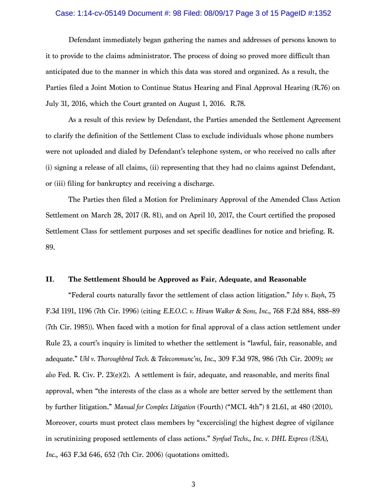#### Case: 1:14-cv-05149 Document #: 98 Filed: 08/09/17 Page 3 of 15 PageID #:1352

Defendant immediately began gathering the names and addresses of persons known to it to provide to the claims administrator. The process of doing so proved more difficult than anticipated due to the manner in which this data was stored and organized. As a result, the Parties filed a Joint Motion to Continue Status Hearing and Final Approval Hearing (R.76) on July 31, 2016, which the Court granted on August 1, 2016. R.78.

As a result of this review by Defendant, the Parties amended the Settlement Agreement to clarify the definition of the Settlement Class to exclude individuals whose phone numbers were not uploaded and dialed by Defendant's telephone system, or who received no calls after (i) signing a release of all claims, (ii) representing that they had no claims against Defendant, or (iii) filing for bankruptcy and receiving a discharge.

The Parties then filed a Motion for Preliminary Approval of the Amended Class Action Settlement on March 28, 2017 (R. 81), and on April 10, 2017, the Court certified the proposed Settlement Class for settlement purposes and set specific deadlines for notice and briefing. R. 89.

## **II. The Settlement Should be Approved as Fair, Adequate, and Reasonable**

"Federal courts naturally favor the settlement of class action litigation." *Isby v. Bayh*, 75 F.3d 1191, 1196 (7th Cir. 1996) (citing *E.E.O.C. v. Hiram Walker & Sons, Inc.*, 768 F.2d 884, 888–89 (7th Cir. 1985)). When faced with a motion for final approval of a class action settlement under Rule 23, a court's inquiry is limited to whether the settlement is "lawful, fair, reasonable, and adequate." *Uhl v. Thoroughbred Tech. & Telecommunc'ns, Inc.*, 309 F.3d 978, 986 (7th Cir. 2009); *see also* Fed. R. Civ. P. 23(e)(2). A settlement is fair, adequate, and reasonable, and merits final approval, when "the interests of the class as a whole are better served by the settlement than by further litigation." *Manual for Complex Litigation* (Fourth) ("MCL 4th") § 21.61, at 480 (2010). Moreover, courts must protect class members by "excercis inglinest degree of vigilance in scrutinizing proposed settlements of class actions." *Synfuel Techs., Inc. v. DHL Express (USA), Inc.*, 463 F.3d 646, 652 (7th Cir. 2006) (quotations omitted).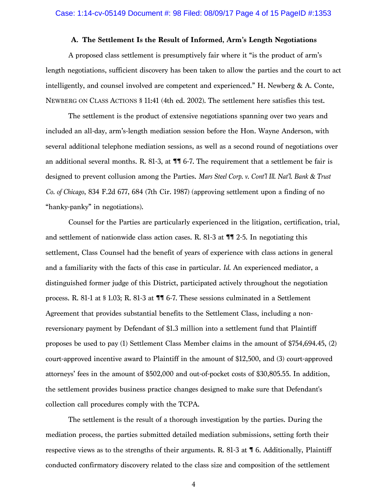## **A. The Settlement Is the Result of Informed, Arm's Length Negotiations**

A proposed class settlement is presumptively fair where it "is the product of arm's length negotiations, sufficient discovery has been taken to allow the parties and the court to act intelligently, and counsel involved are competent and experienced." H. Newberg & A. Conte, NEWBERG ON CLASS ACTIONS § 11:41 (4th ed. 2002). The settlement here satisfies this test.

The settlement is the product of extensive negotiations spanning over two years and included an all-day, arm's-length mediation session before the Hon. Wayne Anderson, with several additional telephone mediation sessions, as well as a second round of negotiations over an additional several months. R. 81-3, at  $\P$  6-7. The requirement that a settlement be fair is designed to prevent collusion among the Parties. *Mars Steel Corp. v. Cont'l Ill. Nat'l. Bank & Trust Co. of Chicago*, 834 F.2d 677, 684 (7th Cir. 1987) (approving settlement upon a finding of no "hanky-panky" in negotiations).

Counsel for the Parties are particularly experienced in the litigation, certification, trial, and settlement of nationwide class action cases. R. 81-3 at  $\P$   $\overline{\phantom{2}}$  2-5. In negotiating this settlement, Class Counsel had the benefit of years of experience with class actions in general and a familiarity with the facts of this case in particular. *Id*. An experienced mediator, a distinguished former judge of this District, participated actively throughout the negotiation process. R. 81-1 at § 1.03; R. 81-3 at ¶¶ 6-7. These sessions culminated in a Settlement Agreement that provides substantial benefits to the Settlement Class, including a nonreversionary payment by Defendant of \$1.3 million into a settlement fund that Plaintiff proposes be used to pay (1) Settlement Class Member claims in the amount of \$754,694.45, (2) court-approved incentive award to Plaintiff in the amount of \$12,500, and (3) court-approved attorneys' fees in the amount of \$502,000 and out-of-pocket costs of \$30,805.55. In addition, the settlement provides business practice changes designed to make sure that Defendant's collection call procedures comply with the TCPA.

The settlement is the result of a thorough investigation by the parties. During the mediation process, the parties submitted detailed mediation submissions, setting forth their respective views as to the strengths of their arguments. R. 81-3 at ¶ 6. Additionally, Plaintiff conducted confirmatory discovery related to the class size and composition of the settlement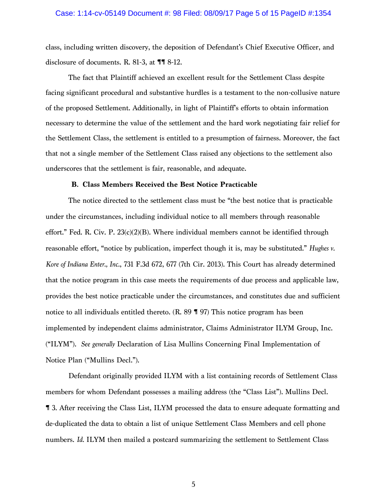#### Case: 1:14-cv-05149 Document #: 98 Filed: 08/09/17 Page 5 of 15 PageID #:1354

class, including written discovery, the deposition of Defendant's Chief Executive Officer, and disclosure of documents. R. 81-3, at ¶¶ 8-12.

The fact that Plaintiff achieved an excellent result for the Settlement Class despite facing significant procedural and substantive hurdles is a testament to the non-collusive nature of the proposed Settlement. Additionally, in light of Plaintiff's efforts to obtain information necessary to determine the value of the settlement and the hard work negotiating fair relief for the Settlement Class, the settlement is entitled to a presumption of fairness. Moreover, the fact that not a single member of the Settlement Class raised any objections to the settlement also underscores that the settlement is fair, reasonable, and adequate.

#### **B. Class Members Received the Best Notice Practicable**

The notice directed to the settlement class must be "the best notice that is practicable under the circumstances, including individual notice to all members through reasonable effort." Fed. R. Civ. P.  $23(c)(2)(B)$ . Where individual members cannot be identified through reasonable effort, "notice by publication, imperfect though it is, may be substituted." *Hughes v. Kore of Indiana Enter., Inc.*, 731 F.3d 672, 677 (7th Cir. 2013). This Court has already determined that the notice program in this case meets the requirements of due process and applicable law, provides the best notice practicable under the circumstances, and constitutes due and sufficient notice to all individuals entitled thereto. (R. 89 ¶ 97) This notice program has been implemented by independent claims administrator, Claims Administrator ILYM Group, Inc. ("ILYM"). *See generally* Declaration of Lisa Mullins Concerning Final Implementation of Notice Plan ("Mullins Decl.").

Defendant originally provided ILYM with a list containing records of Settlement Class members for whom Defendant possesses a mailing address (the "Class List"). Mullins Decl. ¶ 3. After receiving the Class List, ILYM processed the data to ensure adequate formatting and de-duplicated the data to obtain a list of unique Settlement Class Members and cell phone numbers. *Id.* ILYM then mailed a postcard summarizing the settlement to Settlement Class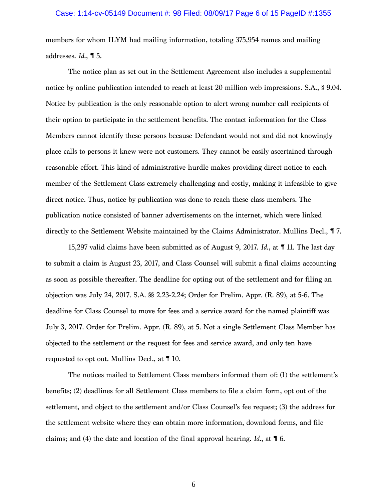## Case: 1:14-cv-05149 Document #: 98 Filed: 08/09/17 Page 6 of 15 PageID #:1355

members for whom ILYM had mailing information, totaling 375,954 names and mailing addresses. *Id*., ¶ 5.

The notice plan as set out in the Settlement Agreement also includes a supplemental notice by online publication intended to reach at least 20 million web impressions. S.A., § 9.04. Notice by publication is the only reasonable option to alert wrong number call recipients of their option to participate in the settlement benefits. The contact information for the Class Members cannot identify these persons because Defendant would not and did not knowingly place calls to persons it knew were not customers. They cannot be easily ascertained through reasonable effort. This kind of administrative hurdle makes providing direct notice to each member of the Settlement Class extremely challenging and costly, making it infeasible to give direct notice. Thus, notice by publication was done to reach these class members. The publication notice consisted of banner advertisements on the internet, which were linked directly to the Settlement Website maintained by the Claims Administrator. Mullins Decl., ¶ 7.

15,297 valid claims have been submitted as of August 9, 2017. *Id*., at ¶ 11. The last day to submit a claim is August 23, 2017, and Class Counsel will submit a final claims accounting as soon as possible thereafter. The deadline for opting out of the settlement and for filing an objection was July 24, 2017. S.A. §§ 2.23-2.24; Order for Prelim. Appr. (R. 89), at 5-6. The deadline for Class Counsel to move for fees and a service award for the named plaintiff was July 3, 2017. Order for Prelim. Appr. (R. 89), at 5. Not a single Settlement Class Member has objected to the settlement or the request for fees and service award, and only ten have requested to opt out. Mullins Decl., at ¶ 10.

The notices mailed to Settlement Class members informed them of: (1) the settlement's benefits; (2) deadlines for all Settlement Class members to file a claim form, opt out of the settlement, and object to the settlement and/or Class Counsel's fee request; (3) the address for the settlement website where they can obtain more information, download forms, and file claims; and (4) the date and location of the final approval hearing. *Id*., at ¶ 6.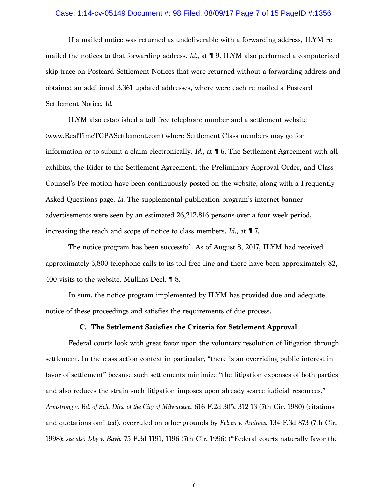#### Case: 1:14-cv-05149 Document #: 98 Filed: 08/09/17 Page 7 of 15 PageID #:1356

If a mailed notice was returned as undeliverable with a forwarding address, ILYM remailed the notices to that forwarding address. *Id.*, at ¶ 9. ILYM also performed a computerized skip trace on Postcard Settlement Notices that were returned without a forwarding address and obtained an additional 3,361 updated addresses, where were each re-mailed a Postcard Settlement Notice. *Id*.

ILYM also established a toll free telephone number and a settlement website (www.RealTimeTCPASettlement.com) where Settlement Class members may go for information or to submit a claim electronically. *Id.*, at ¶ 6. The Settlement Agreement with all exhibits, the Rider to the Settlement Agreement, the Preliminary Approval Order, and Class Counsel's Fee motion have been continuously posted on the website, along with a Frequently Asked Questions page. *Id.* The supplemental publication program's internet banner advertisements were seen by an estimated 26,212,816 persons over a four week period, increasing the reach and scope of notice to class members. *Id*., at ¶ 7.

The notice program has been successful. As of August 8, 2017, ILYM had received approximately 3,800 telephone calls to its toll free line and there have been approximately 82, 400 visits to the website. Mullins Decl. ¶ 8.

In sum, the notice program implemented by ILYM has provided due and adequate notice of these proceedings and satisfies the requirements of due process.

## **C. The Settlement Satisfies the Criteria for Settlement Approval**

Federal courts look with great favor upon the voluntary resolution of litigation through settlement. In the class action context in particular, "there is an overriding public interest in favor of settlement" because such settlements minimize "the litigation expenses of both parties and also reduces the strain such litigation imposes upon already scarce judicial resources." *Armstrong v. Bd. of Sch. Dirs. of the City of Milwaukee*, 616 F.2d 305, 312-13 (7th Cir. 1980) (citations and quotations omitted), overruled on other grounds by *Felzen v. Andreas*, 134 F.3d 873 (7th Cir. 1998); *see also Isby v. Bayh*, 75 F.3d 1191, 1196 (7th Cir. 1996) ("Federal courts naturally favor the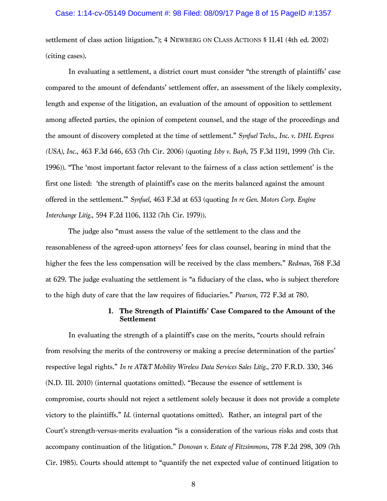## Case: 1:14-cv-05149 Document #: 98 Filed: 08/09/17 Page 8 of 15 PageID #:1357

settlement of class action litigation."); 4 NEWBERG ON CLASS ACTIONS § 11.41 (4th ed. 2002) (citing cases).

In evaluating a settlement, a district court must consider "the strength of plaintiffs' case compared to the amount of defendants' settlement offer, an assessment of the likely complexity, length and expense of the litigation, an evaluation of the amount of opposition to settlement among affected parties, the opinion of competent counsel, and the stage of the proceedings and the amount of discovery completed at the time of settlement." *Synfuel Techs., Inc. v. DHL Express (USA), Inc.*, 463 F.3d 646, 653 (7th Cir. 2006) (quoting *Isby v. Bayh*, 75 F.3d 1191, 1999 (7th Cir. 1996)). "The 'most important factor relevant to the fairness of a class action settlement' is the first one listed: 'the strength of plaintiff's case on the merits balanced against the amount offered in the settlement.'" *Synfuel*, 463 F.3d at 653 (quoting *In re Gen. Motors Corp. Engine Interchange Litig.*, 594 F.2d 1106, 1132 (7th Cir. 1979)).

The judge also "must assess the value of the settlement to the class and the reasonableness of the agreed-upon attorneys' fees for class counsel, bearing in mind that the higher the fees the less compensation will be received by the class members." *Redman*, 768 F.3d at 629. The judge evaluating the settlement is "a fiduciary of the class, who is subject therefore to the high duty of care that the law requires of fiduciaries." *Pearson*, 772 F.3d at 780.

## **1. The Strength of Plaintiffs' Case Compared to the Amount of the Settlement**

In evaluating the strength of a plaintiff's case on the merits, "courts should refrain from resolving the merits of the controversy or making a precise determination of the parties' respective legal rights." *In re AT&T Mobility Wireless Data Services Sales Litig*., 270 F.R.D. 330, 346 (N.D. Ill. 2010) (internal quotations omitted). "Because the essence of settlement is compromise, courts should not reject a settlement solely because it does not provide a complete victory to the plaintiffs." *Id*. (internal quotations omitted). Rather, an integral part of the Court's strength-versus-merits evaluation "is a consideration of the various risks and costs that accompany continuation of the litigation." *Donovan v. Estate of Fitzsimmons*, 778 F.2d 298, 309 (7th Cir. 1985). Courts should attempt to "quantify the net expected value of continued litigation to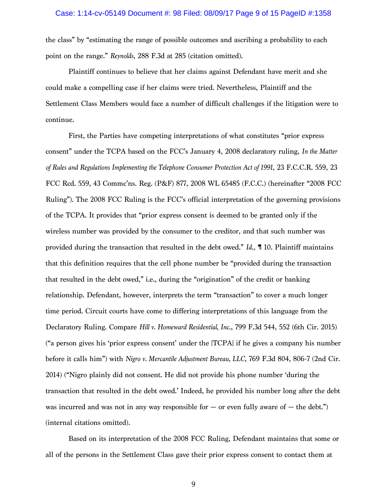the class" by "estimating the range of possible outcomes and ascribing a probability to each point on the range." *Reynolds*, 288 F.3d at 285 (citation omitted).

Plaintiff continues to believe that her claims against Defendant have merit and she could make a compelling case if her claims were tried. Nevertheless, Plaintiff and the Settlement Class Members would face a number of difficult challenges if the litigation were to continue.

First, the Parties have competing interpretations of what constitutes "prior express consent" under the TCPA based on the FCC's January 4, 2008 declaratory ruling, *In the Matter of Rules and Regulations Implementing the Telephone Consumer Protection Act of 1991*, 23 F.C.C.R. 559, 23 FCC Rcd. 559, 43 Commc'ns. Reg. (P&F) 877, 2008 WL 65485 (F.C.C.) (hereinafter "2008 FCC Ruling"). The 2008 FCC Ruling is the FCC's official interpretation of the governing provisions of the TCPA. It provides that "prior express consent is deemed to be granted only if the wireless number was provided by the consumer to the creditor, and that such number was provided during the transaction that resulted in the debt owed." *Id*., ¶ 10. Plaintiff maintains that this definition requires that the cell phone number be "provided during the transaction that resulted in the debt owed," i.e., during the "origination" of the credit or banking relationship. Defendant, however, interprets the term "transaction" to cover a much longer time period. Circuit courts have come to differing interpretations of this language from the Declaratory Ruling. Compare *Hill v. Homeward Residential, Inc*., 799 F.3d 544, 552 (6th Cir. 2015) ("a person gives his 'prior express consent' under the [TCPA] if he gives a company his number before it calls him") with *Nigro v. Mercantile Adjustment Bureau, LLC*, 769 F.3d 804, 806-7 (2nd Cir. 2014) ("Nigro plainly did not consent. He did not provide his phone number 'during the transaction that resulted in the debt owed.' Indeed, he provided his number long after the debt was incurred and was not in any way responsible for  $-$  or even fully aware of  $-$  the debt.") (internal citations omitted).

Based on its interpretation of the 2008 FCC Ruling, Defendant maintains that some or all of the persons in the Settlement Class gave their prior express consent to contact them at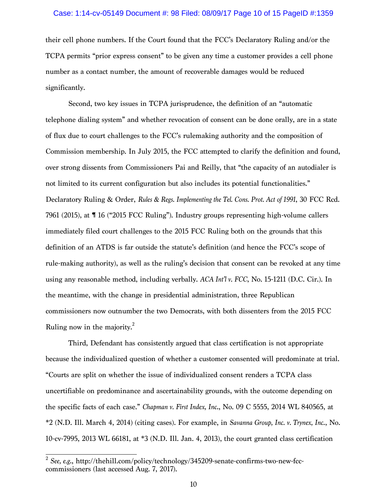#### Case: 1:14-cv-05149 Document #: 98 Filed: 08/09/17 Page 10 of 15 PageID #:1359

their cell phone numbers. If the Court found that the FCC's Declaratory Ruling and/or the TCPA permits "prior express consent" to be given any time a customer provides a cell phone number as a contact number, the amount of recoverable damages would be reduced significantly.

Second, two key issues in TCPA jurisprudence, the definition of an "automatic telephone dialing system" and whether revocation of consent can be done orally, are in a state of flux due to court challenges to the FCC's rulemaking authority and the composition of Commission membership. In July 2015, the FCC attempted to clarify the definition and found, over strong dissents from Commissioners Pai and Reilly, that "the capacity of an autodialer is not limited to its current configuration but also includes its potential functionalities." Declaratory Ruling & Order, *Rules & Regs. Implementing the Tel. Cons. Prot. Act of 1991*, 30 FCC Rcd. 7961 (2015), at ¶ 16 ("2015 FCC Ruling"). Industry groups representing high-volume callers immediately filed court challenges to the 2015 FCC Ruling both on the grounds that this definition of an ATDS is far outside the statute's definition (and hence the FCC's scope of rule-making authority), as well as the ruling's decision that consent can be revoked at any time using any reasonable method, including verbally. *ACA Int'l v. FCC*, No. 15-1211 (D.C. Cir.). In the meantime, with the change in presidential administration, three Republican commissioners now outnumber the two Democrats, with both dissenters from the 2015 FCC Ruling now in the majority.2

Third, Defendant has consistently argued that class certification is not appropriate because the individualized question of whether a customer consented will predominate at trial. "Courts are split on whether the issue of individualized consent renders a TCPA class uncertifiable on predominance and ascertainability grounds, with the outcome depending on the specific facts of each case." *Chapman v. First Index, Inc*., No. 09 C 5555, 2014 WL 840565, at \*2 (N.D. Ill. March 4, 2014) (citing cases). For example, in *Savanna Group, Inc. v. Trynex, Inc*., No. 10-cv-7995, 2013 WL 66181, at \*3 (N.D. Ill. Jan. 4, 2013), the court granted class certification

<sup>2</sup> *See, e.g*., http://thehill.com/policy/technology/345209-senate-confirms-two-new-fcccommissioners (last accessed Aug. 7, 2017).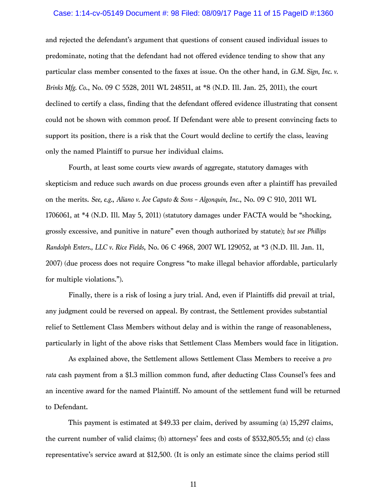#### Case: 1:14-cv-05149 Document #: 98 Filed: 08/09/17 Page 11 of 15 PageID #:1360

and rejected the defendant's argument that questions of consent caused individual issues to predominate, noting that the defendant had not offered evidence tending to show that any particular class member consented to the faxes at issue. On the other hand, in *G.M. Sign, Inc. v. Brinks Mfg. Co*., No. 09 C 5528, 2011 WL 248511, at \*8 (N.D. Ill. Jan. 25, 2011), the court declined to certify a class, finding that the defendant offered evidence illustrating that consent could not be shown with common proof. If Defendant were able to present convincing facts to support its position, there is a risk that the Court would decline to certify the class, leaving only the named Plaintiff to pursue her individual claims.

Fourth, at least some courts view awards of aggregate, statutory damages with skepticism and reduce such awards on due process grounds even after a plaintiff has prevailed on the merits. *See, e.g.*, *Aliano v. Joe Caputo & Sons – Algonquin, Inc*., No. 09 C 910, 2011 WL 1706061, at \*4 (N.D. Ill. May 5, 2011) (statutory damages under FACTA would be "shocking, grossly excessive, and punitive in nature" even though authorized by statute); *but see Phillips Randolph Enters., LLC v. Rice Fields*, No. 06 C 4968, 2007 WL 129052, at \*3 (N.D. Ill. Jan. 11, 2007) (due process does not require Congress "to make illegal behavior affordable, particularly for multiple violations.").

Finally, there is a risk of losing a jury trial. And, even if Plaintiffs did prevail at trial, any judgment could be reversed on appeal. By contrast, the Settlement provides substantial relief to Settlement Class Members without delay and is within the range of reasonableness, particularly in light of the above risks that Settlement Class Members would face in litigation.

As explained above, the Settlement allows Settlement Class Members to receive a *pro rata* cash payment from a \$1.3 million common fund, after deducting Class Counsel's fees and an incentive award for the named Plaintiff. No amount of the settlement fund will be returned to Defendant.

This payment is estimated at \$49.33 per claim, derived by assuming (a) 15,297 claims, the current number of valid claims; (b) attorneys' fees and costs of \$532,805.55; and (c) class representative's service award at \$12,500*.* (It is only an estimate since the claims period still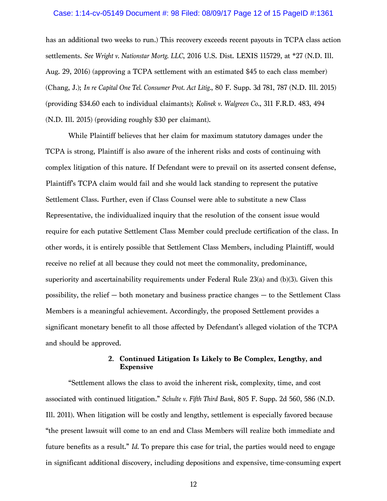#### Case: 1:14-cv-05149 Document #: 98 Filed: 08/09/17 Page 12 of 15 PageID #:1361

has an additional two weeks to run.) This recovery exceeds recent payouts in TCPA class action settlements. *See Wright v. Nationstar Mortg. LLC*, 2016 U.S. Dist. LEXIS 115729, at \*27 (N.D. Ill. Aug. 29, 2016) (approving a TCPA settlement with an estimated \$45 to each class member) (Chang, J.); *In re Capital One Tel. Consumer Prot. Act Litig.*, 80 F. Supp. 3d 781, 787 (N.D. Ill. 2015) (providing \$34.60 each to individual claimants); *Kolinek v. Walgreen Co.*, 311 F.R.D. 483, 494 (N.D. Ill. 2015) (providing roughly \$30 per claimant).

While Plaintiff believes that her claim for maximum statutory damages under the TCPA is strong, Plaintiff is also aware of the inherent risks and costs of continuing with complex litigation of this nature. If Defendant were to prevail on its asserted consent defense, Plaintiff's TCPA claim would fail and she would lack standing to represent the putative Settlement Class. Further, even if Class Counsel were able to substitute a new Class Representative, the individualized inquiry that the resolution of the consent issue would require for each putative Settlement Class Member could preclude certification of the class. In other words, it is entirely possible that Settlement Class Members, including Plaintiff, would receive no relief at all because they could not meet the commonality, predominance, superiority and ascertainability requirements under Federal Rule 23(a) and (b)(3). Given this possibility, the relief  $-$  both monetary and business practice changes  $-$  to the Settlement Class Members is a meaningful achievement. Accordingly, the proposed Settlement provides a significant monetary benefit to all those affected by Defendant's alleged violation of the TCPA and should be approved.

## **2. Continued Litigation Is Likely to Be Complex, Lengthy, and Expensive**

"Settlement allows the class to avoid the inherent risk, complexity, time, and cost associated with continued litigation." *Schulte v. Fifth Third Bank*, 805 F. Supp. 2d 560, 586 (N.D. Ill. 2011). When litigation will be costly and lengthy, settlement is especially favored because "the present lawsuit will come to an end and Class Members will realize both immediate and future benefits as a result." *Id.* To prepare this case for trial, the parties would need to engage in significant additional discovery, including depositions and expensive, time-consuming expert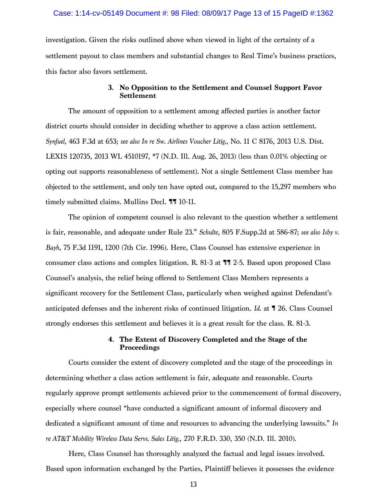## Case: 1:14-cv-05149 Document #: 98 Filed: 08/09/17 Page 13 of 15 PageID #:1362

investigation. Given the risks outlined above when viewed in light of the certainty of a settlement payout to class members and substantial changes to Real Time's business practices, this factor also favors settlement.

## **3. No Opposition to the Settlement and Counsel Support Favor Settlement**

The amount of opposition to a settlement among affected parties is another factor district courts should consider in deciding whether to approve a class action settlement. *Synfuel*, 463 F.3d at 653; *see also In re Sw. Airlines Voucher Litig.*, No. 11 C 8176, 2013 U.S. Dist. LEXIS 120735, 2013 WL 4510197, \*7 (N.D. Ill. Aug. 26, 2013) (less than 0.01% objecting or opting out supports reasonableness of settlement). Not a single Settlement Class member has objected to the settlement, and only ten have opted out, compared to the 15,297 members who timely submitted claims. Mullins Decl. ¶¶ 10-11.

The opinion of competent counsel is also relevant to the question whether a settlement is fair, reasonable, and adequate under Rule 23." *Schulte*, 805 F.Supp.2d at 586-87; *see also Isby v. Bayh*, 75 F.3d 1191, 1200 (7th Cir. 1996). Here, Class Counsel has extensive experience in consumer class actions and complex litigation. R. 81-3 at ¶¶ 2-5. Based upon proposed Class Counsel's analysis, the relief being offered to Settlement Class Members represents a significant recovery for the Settlement Class, particularly when weighed against Defendant's anticipated defenses and the inherent risks of continued litigation. *Id*. at ¶ 26. Class Counsel strongly endorses this settlement and believes it is a great result for the class. R. 81-3.

## **4. The Extent of Discovery Completed and the Stage of the Proceedings**

Courts consider the extent of discovery completed and the stage of the proceedings in determining whether a class action settlement is fair, adequate and reasonable. Courts regularly approve prompt settlements achieved prior to the commencement of formal discovery, especially where counsel "have conducted a significant amount of informal discovery and dedicated a significant amount of time and resources to advancing the underlying lawsuits." *In re AT&T Mobility Wireless Data Servs. Sales Litig.*, 270 F.R.D. 330, 350 (N.D. Ill. 2010).

Here, Class Counsel has thoroughly analyzed the factual and legal issues involved. Based upon information exchanged by the Parties, Plaintiff believes it possesses the evidence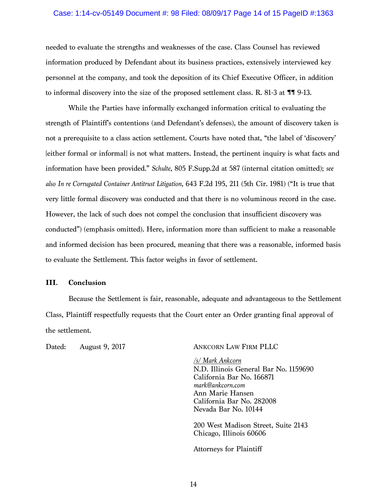## Case: 1:14-cv-05149 Document #: 98 Filed: 08/09/17 Page 14 of 15 PageID #:1363

needed to evaluate the strengths and weaknesses of the case. Class Counsel has reviewed information produced by Defendant about its business practices, extensively interviewed key personnel at the company, and took the deposition of its Chief Executive Officer, in addition to informal discovery into the size of the proposed settlement class. R. 81-3 at  $\P$  $\P$  $9$ -13.

While the Parties have informally exchanged information critical to evaluating the strength of Plaintiff's contentions (and Defendant's defenses), the amount of discovery taken is not a prerequisite to a class action settlement. Courts have noted that, "the label of 'discovery' [either formal or informal] is not what matters. Instead, the pertinent inquiry is what facts and information have been provided." *Schulte*, 805 F.Supp.2d at 587 (internal citation omitted); *see also In re Corrugated Container Antitrust Litigation*, 643 F.2d 195, 211 (5th Cir. 1981) ("It is true that very little formal discovery was conducted and that there is no voluminous record in the case. However, the lack of such does not compel the conclusion that insufficient discovery was conducted") (emphasis omitted). Here, information more than sufficient to make a reasonable and informed decision has been procured, meaning that there was a reasonable, informed basis to evaluate the Settlement. This factor weighs in favor of settlement.

## **III. Conclusion**

Because the Settlement is fair, reasonable, adequate and advantageous to the Settlement Class, Plaintiff respectfully requests that the Court enter an Order granting final approval of the settlement.

## Dated: August 9, 2017 ANKCORN LAW FIRM PLLC

*/s/ Mark Ankcorn* N.D. Illinois General Bar No. 1159690 California Bar No. 166871 *mark@ankcorn.com* Ann Marie Hansen California Bar No. 282008 Nevada Bar No. 10144

200 West Madison Street, Suite 2143 Chicago, Illinois 60606

Attorneys for Plaintiff